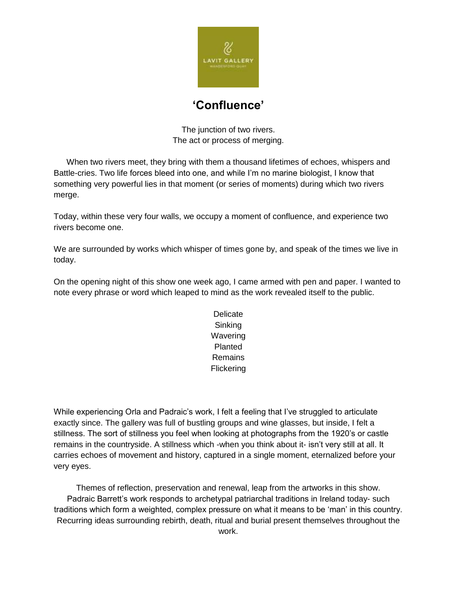

## **'Confluence'**

The junction of two rivers. The act or process of merging.

When two rivers meet, they bring with them a thousand lifetimes of echoes, whispers and Battle-cries. Two life forces bleed into one, and while I'm no marine biologist, I know that something very powerful lies in that moment (or series of moments) during which two rivers merge.

Today, within these very four walls, we occupy a moment of confluence, and experience two rivers become one.

We are surrounded by works which whisper of times gone by, and speak of the times we live in today.

On the opening night of this show one week ago, I came armed with pen and paper. I wanted to note every phrase or word which leaped to mind as the work revealed itself to the public.

> Delicate **Sinking Wavering** Planted Remains **Flickering**

While experiencing Orla and Padraic's work, I felt a feeling that I've struggled to articulate exactly since. The gallery was full of bustling groups and wine glasses, but inside, I felt a stillness. The sort of stillness you feel when looking at photographs from the 1920's or castle remains in the countryside. A stillness which -when you think about it- isn't very still at all. It carries echoes of movement and history, captured in a single moment, eternalized before your very eyes.

Themes of reflection, preservation and renewal, leap from the artworks in this show. Padraic Barrett's work responds to archetypal patriarchal traditions in Ireland today- such traditions which form a weighted, complex pressure on what it means to be 'man' in this country. Recurring ideas surrounding rebirth, death, ritual and burial present themselves throughout the work.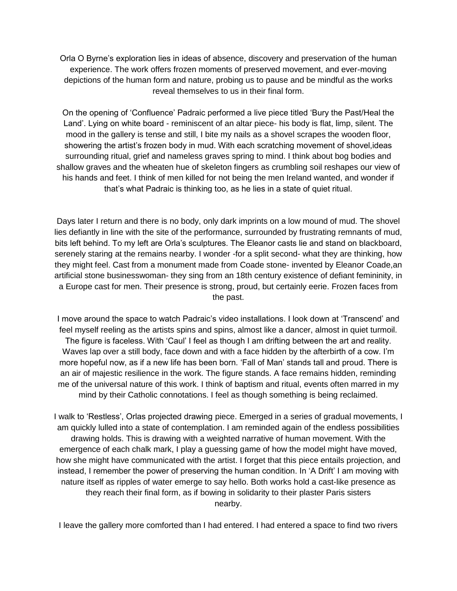Orla O Byrne's exploration lies in ideas of absence, discovery and preservation of the human experience. The work offers frozen moments of preserved movement, and ever-moving depictions of the human form and nature, probing us to pause and be mindful as the works reveal themselves to us in their final form.

On the opening of 'Confluence' Padraic performed a live piece titled 'Bury the Past/Heal the Land'. Lying on white board - reminiscent of an altar piece- his body is flat, limp, silent. The mood in the gallery is tense and still, I bite my nails as a shovel scrapes the wooden floor, showering the artist's frozen body in mud. With each scratching movement of shovel,ideas surrounding ritual, grief and nameless graves spring to mind. I think about bog bodies and shallow graves and the wheaten hue of skeleton fingers as crumbling soil reshapes our view of his hands and feet. I think of men killed for not being the men Ireland wanted, and wonder if that's what Padraic is thinking too, as he lies in a state of quiet ritual.

Days later I return and there is no body, only dark imprints on a low mound of mud. The shovel lies defiantly in line with the site of the performance, surrounded by frustrating remnants of mud, bits left behind. To my left are Orla's sculptures. The Eleanor casts lie and stand on blackboard, serenely staring at the remains nearby. I wonder -for a split second- what they are thinking, how they might feel. Cast from a monument made from Coade stone- invented by Eleanor Coade,an artificial stone businesswoman- they sing from an 18th century existence of defiant femininity, in a Europe cast for men. Their presence is strong, proud, but certainly eerie. Frozen faces from the past.

I move around the space to watch Padraic's video installations. I look down at 'Transcend' and feel myself reeling as the artists spins and spins, almost like a dancer, almost in quiet turmoil. The figure is faceless. With 'Caul' I feel as though I am drifting between the art and reality. Waves lap over a still body, face down and with a face hidden by the afterbirth of a cow. I'm more hopeful now, as if a new life has been born. 'Fall of Man' stands tall and proud. There is an air of majestic resilience in the work. The figure stands. A face remains hidden, reminding me of the universal nature of this work. I think of baptism and ritual, events often marred in my mind by their Catholic connotations. I feel as though something is being reclaimed.

I walk to 'Restless', Orlas projected drawing piece. Emerged in a series of gradual movements, I am quickly lulled into a state of contemplation. I am reminded again of the endless possibilities drawing holds. This is drawing with a weighted narrative of human movement. With the emergence of each chalk mark, I play a guessing game of how the model might have moved, how she might have communicated with the artist. I forget that this piece entails projection, and instead, I remember the power of preserving the human condition. In 'A Drift' I am moving with nature itself as ripples of water emerge to say hello. Both works hold a cast-like presence as they reach their final form, as if bowing in solidarity to their plaster Paris sisters nearby.

I leave the gallery more comforted than I had entered. I had entered a space to find two rivers